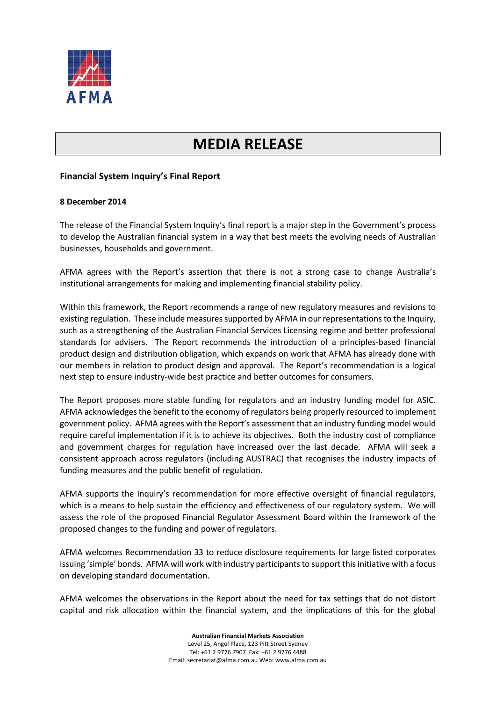

## **MEDIA RELEASE**

## **Financial System Inquiry's Final Report**

## **8 December 2014**

The release of the Financial System Inquiry's final report is a major step in the Government's process to develop the Australian financial system in a way that best meets the evolving needs of Australian businesses, households and government.

AFMA agrees with the Report's assertion that there is not a strong case to change Australia's institutional arrangements for making and implementing financial stability policy.

Within this framework, the Report recommends a range of new regulatory measures and revisions to existing regulation. These include measures supported by AFMA in our representations to the Inquiry, such as a strengthening of the Australian Financial Services Licensing regime and better professional standards for advisers. The Report recommends the introduction of a principles-based financial product design and distribution obligation, which expands on work that AFMA has already done with our members in relation to product design and approval. The Report's recommendation is a logical next step to ensure industry-wide best practice and better outcomes for consumers.

The Report proposes more stable funding for regulators and an industry funding model for ASIC. AFMA acknowledgesthe benefit to the economy of regulators being properly resourced to implement government policy. AFMA agrees with the Report's assessment that an industry funding model would require careful implementation if it is to achieve its objectives. Both the industry cost of compliance and government charges for regulation have increased over the last decade. AFMA will seek a consistent approach across regulators (including AUSTRAC) that recognises the industry impacts of funding measures and the public benefit of regulation.

AFMA supports the Inquiry's recommendation for more effective oversight of financial regulators, which is a means to help sustain the efficiency and effectiveness of our regulatory system. We will assess the role of the proposed Financial Regulator Assessment Board within the framework of the proposed changes to the funding and power of regulators.

AFMA welcomes Recommendation 33 to reduce disclosure requirements for large listed corporates issuing 'simple' bonds. AFMA will work with industry participants to support this initiative with a focus on developing standard documentation.

AFMA welcomes the observations in the Report about the need for tax settings that do not distort capital and risk allocation within the financial system, and the implications of this for the global